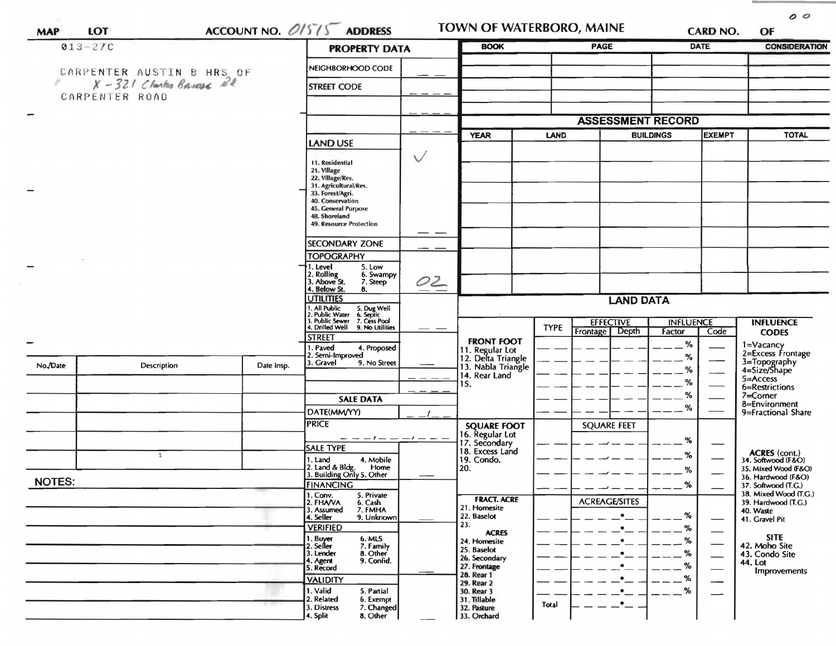|               | $013 - 27C$                                         |            | <b>PROPERTY DATA</b>                                                      |        | <b>BOOK</b>                                                 |                  | <b>PAGE</b>                        |                                   | <b>DATE</b> | <b>CONSIDERATION</b>                              |
|---------------|-----------------------------------------------------|------------|---------------------------------------------------------------------------|--------|-------------------------------------------------------------|------------------|------------------------------------|-----------------------------------|-------------|---------------------------------------------------|
|               |                                                     |            | NEIGHBORHOOD CODE                                                         |        |                                                             |                  |                                    |                                   |             |                                                   |
|               | CARPENTER AUSTIN B HRS OF<br>X-321 Clarks Briese 22 |            | <b>STREET CODE</b>                                                        |        |                                                             |                  |                                    |                                   |             |                                                   |
|               | CARPENTER ROAD                                      |            |                                                                           |        |                                                             |                  |                                    |                                   |             |                                                   |
|               |                                                     |            |                                                                           |        |                                                             |                  | <b>ASSESSMENT RECORD</b>           |                                   |             |                                                   |
|               |                                                     |            |                                                                           |        | <b>YEAR</b>                                                 | <b>LAND</b>      |                                    | <b>EXEMPT</b><br><b>BUILDINGS</b> |             | <b>TOTAL</b>                                      |
|               |                                                     |            | <b>LAND USE</b>                                                           | $\vee$ |                                                             |                  |                                    |                                   |             |                                                   |
|               |                                                     |            | 11. Residential<br>21. Village                                            |        |                                                             |                  |                                    |                                   |             |                                                   |
|               |                                                     |            | 22. Village/Res.<br>31. Agricultural/Res.                                 |        |                                                             |                  |                                    |                                   |             |                                                   |
|               |                                                     |            | 33. Forest/Agri.<br>40. Conservation                                      |        |                                                             |                  |                                    |                                   |             |                                                   |
|               |                                                     |            | 45. General Purpose<br>48. Shoreland                                      |        |                                                             |                  |                                    |                                   |             |                                                   |
|               |                                                     |            | 49. Resource Protection                                                   |        |                                                             |                  |                                    |                                   |             |                                                   |
|               |                                                     |            | <b>SECONDARY ZONE</b>                                                     |        |                                                             |                  |                                    |                                   |             |                                                   |
|               |                                                     |            | <b>TOPOGRAPHY</b><br>1. Level<br>5. Low                                   |        |                                                             |                  |                                    |                                   |             |                                                   |
|               |                                                     |            | . Rolling<br>6. Swampy<br>3. Above St.<br>7. Steep                        | 02     |                                                             |                  |                                    |                                   |             |                                                   |
|               |                                                     |            | . Below St.<br>8.<br><b>UTILITIES</b>                                     |        |                                                             | <b>LAND DATA</b> |                                    |                                   |             |                                                   |
|               |                                                     |            | 1. All Public<br>5. Dug Well<br>6. Septic<br>2. Public Water              |        |                                                             |                  |                                    |                                   |             |                                                   |
|               |                                                     |            | 3. Public Sewer 7. Cess Pool<br>4. Drilled Well 9. No Utilities           |        |                                                             | <b>TYPE</b>      | <b>EFFECTIVE</b><br>Frontage Depth | <b>INFLUENCE</b><br>Factor        | Code        | <b>INFLUENCE</b><br><b>CODES</b>                  |
|               |                                                     |            | <b>STREET</b><br>. Paved<br>4. Proposed                                   |        | <b>FRONT FOOT</b>                                           |                  |                                    | $\%$                              |             | 1=Vacancy                                         |
| No./Date      | Description                                         | Date Insp. | 2. Semi-Improved<br>3. Gravel<br>9. No Street                             |        | 11. Regular Lot<br>12. Delta Triangle<br>13. Nabla Triangle |                  |                                    | %                                 |             | 2=Excess Frontage<br>3=Topography<br>4=Size/Shape |
|               |                                                     |            |                                                                           |        | 14. Rear Land<br>15.                                        |                  |                                    | %<br>%                            |             | 5=Access                                          |
|               |                                                     |            | <b>SALE DATA</b>                                                          |        |                                                             |                  |                                    | %                                 |             | 6=Restrictions<br>7=Corner                        |
|               |                                                     |            | DATE(MM/YY)                                                               |        |                                                             |                  |                                    | %                                 |             | 8=Environment<br>9=Fractional Share               |
|               |                                                     |            | <b>PRICE</b>                                                              |        | <b>SQUARE FOOT</b><br>16. Regular Lot                       |                  | <b>SQUARE FEET</b>                 |                                   |             |                                                   |
|               |                                                     |            | — — — I — — — I — — —<br><b>SALE TYPE</b>                                 |        | 17. Secondary<br>18. Excess Land                            |                  |                                    | %                                 |             |                                                   |
|               | $\mathbf{R}$                                        |            | 4. Mobile<br>1. Land<br>2. Land & Bldg.                                   |        | 19. Condo.                                                  |                  |                                    | %                                 |             | ACRES (cont.)<br>34. Softwood (F&O)               |
| <b>NOTES:</b> |                                                     |            | Home<br>3. Building Only 5. Other                                         |        | 20.                                                         |                  |                                    | %                                 |             | 35. Mixed Wood (F&O)<br>36. Hardwood (F&O)        |
|               |                                                     |            | <b>FINANCING</b><br>1. Conv.<br>2. FHA/VA<br>5. Private                   |        | <b>FRACT. ACRE</b>                                          |                  |                                    | %                                 |             | 37. Softwood (T.G.)<br>38. Mixed Wood (T.G.)      |
|               |                                                     |            | 6. Cash<br>3. Assumed<br>7. FMHA                                          |        | 21. Homesite                                                |                  | <b>ACREAGE/SITES</b><br>$\bullet$  | %                                 |             | 39. Hardwood (T.G.)<br>40. Waste                  |
|               |                                                     |            | 4. Seller<br>9. Unknown<br><b>VERIFIED</b>                                |        | 22. Baselot<br>23.                                          |                  | $\bullet$                          | %                                 |             | 41. Gravel Pit                                    |
|               |                                                     |            |                                                                           |        | <b>ACRES</b>                                                |                  |                                    |                                   |             | <b>SITE</b>                                       |
|               |                                                     |            | 6. MLS<br>1. Buyer                                                        |        | 24. Homesite                                                |                  | $\bullet$                          | %                                 |             |                                                   |
|               |                                                     |            | 7. Family<br>2. Seller<br>8. Other<br>3. Lender<br>9. Confid.<br>4. Agent |        | 25. Baselot<br>26. Secondary                                |                  | $\bullet$                          | %                                 |             | 42. Moho Site<br>43. Condo Site                   |
|               |                                                     |            | 5. Record                                                                 |        | 27. Frontage<br>28. Rear 1                                  |                  | $\bullet$<br>$\bullet$             | %                                 | —           | 44. Lot<br>Improvements                           |
|               |                                                     |            | <b>VALIDITY</b><br>1. Valid<br>5. Partial<br>2. Related<br>6. Exempt      |        | 29. Rear 2<br>30. Rear 3<br>31. Tillable                    |                  | ٠                                  | %<br>%                            |             |                                                   |

 $00$ 

**COLOR**